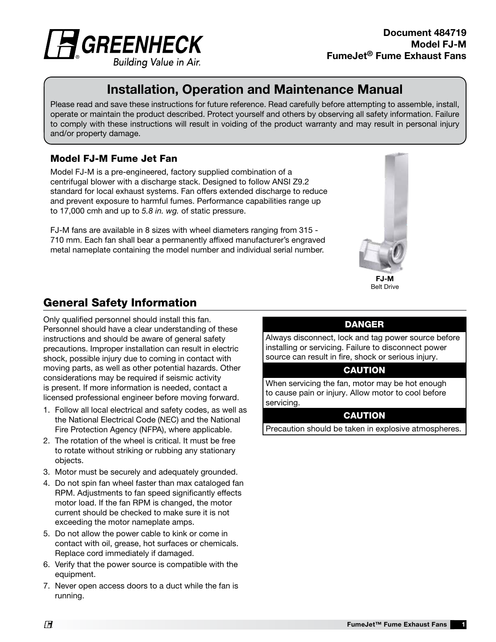

# Installation, Operation and Maintenance Manual Installation, Operation and Maintenance Manual

Please read and save these instructions for future reference. Read carefully before attempting to assemble, install, operate or maintain the product described. Protect yourself and others by observing all safety information. Failure to comply with these instructions will result in voiding of the product warranty and may result in personal injury and/or property damage.

#### Model FJ-M Fume Jet Fan

Model FJ-M is a pre-engineered, factory supplied combination of a centrifugal blower with a discharge stack. Designed to follow ANSI Z9.2 standard for local exhaust systems. Fan offers extended discharge to reduce and prevent exposure to harmful fumes. Performance capabilities range up to 17,000 cmh and up to *5.8 in. wg.* of static pressure.

FJ-M fans are available in 8 sizes with wheel diameters ranging from 315 - 710 mm. Each fan shall bear a permanently affixed manufacturer's engraved metal nameplate containing the model number and individual serial number.



## Belt Drive

### General Safety Information

Only qualified personnel should install this fan. Personnel should have a clear understanding of these instructions and should be aware of general safety precautions. Improper installation can result in electric shock, possible injury due to coming in contact with moving parts, as well as other potential hazards. Other considerations may be required if seismic activity is present. If more information is needed, contact a licensed professional engineer before moving forward.

- 1. Follow all local electrical and safety codes, as well as the National Electrical Code (NEC) and the National Fire Protection Agency (NFPA), where applicable.
- 2. The rotation of the wheel is critical. It must be free to rotate without striking or rubbing any stationary objects.
- 3. Motor must be securely and adequately grounded.
- 4. Do not spin fan wheel faster than max cataloged fan RPM. Adjustments to fan speed significantly effects motor load. If the fan RPM is changed, the motor current should be checked to make sure it is not exceeding the motor nameplate amps.
- 5. Do not allow the power cable to kink or come in contact with oil, grease, hot surfaces or chemicals. Replace cord immediately if damaged.
- 6. Verify that the power source is compatible with the equipment.
- 7. Never open access doors to a duct while the fan is running.

#### DANGER

Always disconnect, lock and tag power source before installing or servicing. Failure to disconnect power source can result in fire, shock or serious injury.

#### CAUTION

When servicing the fan, motor may be hot enough to cause pain or injury. Allow motor to cool before servicing.

#### **CAUTION**

Precaution should be taken in explosive atmospheres.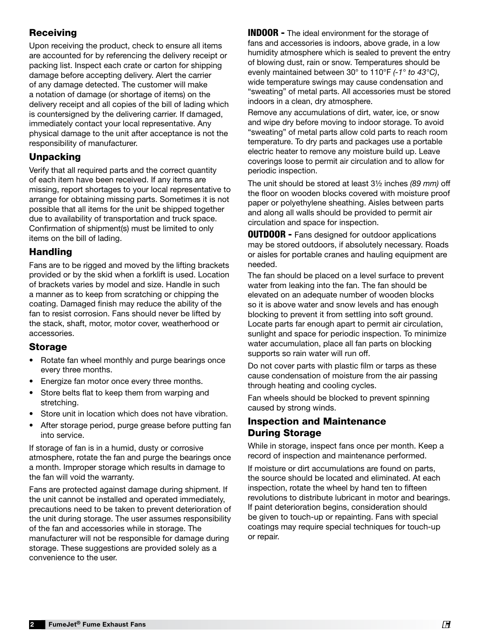#### Receiving

Upon receiving the product, check to ensure all items are accounted for by referencing the delivery receipt or packing list. Inspect each crate or carton for shipping damage before accepting delivery. Alert the carrier of any damage detected. The customer will make a notation of damage (or shortage of items) on the delivery receipt and all copies of the bill of lading which is countersigned by the delivering carrier. If damaged, immediately contact your local representative. Any physical damage to the unit after acceptance is not the responsibility of manufacturer.

#### Unpacking

Verify that all required parts and the correct quantity of each item have been received. If any items are missing, report shortages to your local representative to arrange for obtaining missing parts. Sometimes it is not possible that all items for the unit be shipped together due to availability of transportation and truck space. Confirmation of shipment(s) must be limited to only items on the bill of lading.

#### Handling

Fans are to be rigged and moved by the lifting brackets provided or by the skid when a forklift is used. Location of brackets varies by model and size. Handle in such a manner as to keep from scratching or chipping the coating. Damaged finish may reduce the ability of the fan to resist corrosion. Fans should never be lifted by the stack, shaft, motor, motor cover, weatherhood or accessories.

#### Storage

- Rotate fan wheel monthly and purge bearings once every three months.
- Energize fan motor once every three months.
- Store belts flat to keep them from warping and stretching.
- Store unit in location which does not have vibration.
- After storage period, purge grease before putting fan into service.

If storage of fan is in a humid, dusty or corrosive atmosphere, rotate the fan and purge the bearings once a month. Improper storage which results in damage to the fan will void the warranty.

Fans are protected against damage during shipment. If the unit cannot be installed and operated immediately, precautions need to be taken to prevent deterioration of the unit during storage. The user assumes responsibility of the fan and accessories while in storage. The manufacturer will not be responsible for damage during storage. These suggestions are provided solely as a convenience to the user.

**INDOOR** - The ideal environment for the storage of fans and accessories is indoors, above grade, in a low humidity atmosphere which is sealed to prevent the entry of blowing dust, rain or snow. Temperatures should be evenly maintained between 30° to 110°F *(-1° to 43°C)*, wide temperature swings may cause condensation and "sweating" of metal parts. All accessories must be stored indoors in a clean, dry atmosphere.

Remove any accumulations of dirt, water, ice, or snow and wipe dry before moving to indoor storage. To avoid "sweating" of metal parts allow cold parts to reach room temperature. To dry parts and packages use a portable electric heater to remove any moisture build up. Leave coverings loose to permit air circulation and to allow for periodic inspection.

The unit should be stored at least 3½ inches *(89 mm)* off the floor on wooden blocks covered with moisture proof paper or polyethylene sheathing. Aisles between parts and along all walls should be provided to permit air circulation and space for inspection.

**OUTDOOR -** Fans designed for outdoor applications may be stored outdoors, if absolutely necessary. Roads or aisles for portable cranes and hauling equipment are needed.

The fan should be placed on a level surface to prevent water from leaking into the fan. The fan should be elevated on an adequate number of wooden blocks so it is above water and snow levels and has enough blocking to prevent it from settling into soft ground. Locate parts far enough apart to permit air circulation, sunlight and space for periodic inspection. To minimize water accumulation, place all fan parts on blocking supports so rain water will run off.

Do not cover parts with plastic film or tarps as these cause condensation of moisture from the air passing through heating and cooling cycles.

Fan wheels should be blocked to prevent spinning caused by strong winds.

#### Inspection and Maintenance During Storage

While in storage, inspect fans once per month. Keep a record of inspection and maintenance performed.

If moisture or dirt accumulations are found on parts, the source should be located and eliminated. At each inspection, rotate the wheel by hand ten to fifteen revolutions to distribute lubricant in motor and bearings. If paint deterioration begins, consideration should be given to touch-up or repainting. Fans with special coatings may require special techniques for touch-up or repair.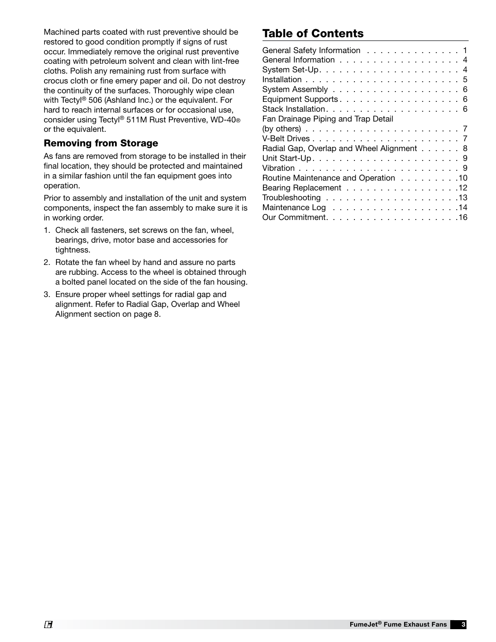Machined parts coated with rust preventive should be restored to good condition promptly if signs of rust occur. Immediately remove the original rust preventive coating with petroleum solvent and clean with lint-free cloths. Polish any remaining rust from surface with crocus cloth or fine emery paper and oil. Do not destroy the continuity of the surfaces. Thoroughly wipe clean with Tectyl® 506 (Ashland Inc.) or the equivalent. For hard to reach internal surfaces or for occasional use, consider using Tectyl® 511M Rust Preventive, WD-40® or the equivalent.

#### Removing from Storage

As fans are removed from storage to be installed in their final location, they should be protected and maintained in a similar fashion until the fan equipment goes into operation.

Prior to assembly and installation of the unit and system components, inspect the fan assembly to make sure it is in working order.

- 1. Check all fasteners, set screws on the fan, wheel, bearings, drive, motor base and accessories for tightness.
- 2. Rotate the fan wheel by hand and assure no parts are rubbing. Access to the wheel is obtained through a bolted panel located on the side of the fan housing.
- 3. Ensure proper wheel settings for radial gap and alignment. Refer to Radial Gap, Overlap and Wheel Alignment section on page 8.

### Table of Contents

| General Safety Information 1                                                   |
|--------------------------------------------------------------------------------|
| General Information 4                                                          |
|                                                                                |
|                                                                                |
|                                                                                |
| Equipment Supports. 6                                                          |
|                                                                                |
| Fan Drainage Piping and Trap Detail                                            |
| (by others) $\ldots \ldots \ldots \ldots \ldots \ldots \ldots \ldots \ldots 7$ |
|                                                                                |
| Radial Gap, Overlap and Wheel Alignment 8                                      |
|                                                                                |
|                                                                                |
| Routine Maintenance and Operation 10                                           |
| Bearing Replacement 12                                                         |
|                                                                                |
|                                                                                |
|                                                                                |
|                                                                                |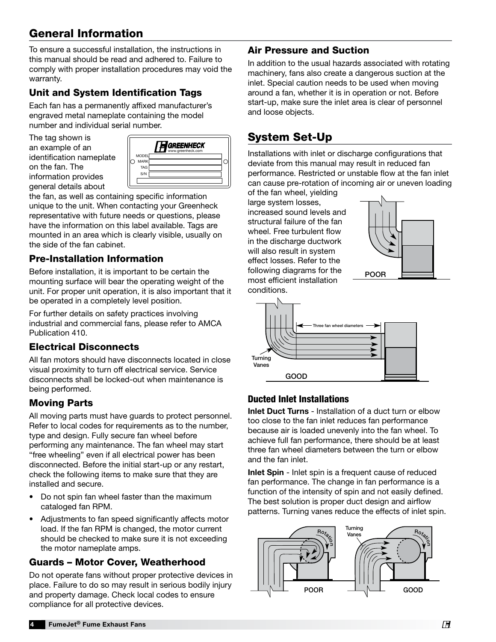### General Information

To ensure a successful installation, the instructions in this manual should be read and adhered to. Failure to comply with proper installation procedures may void the warranty.

### Unit and System Identification Tags

Each fan has a permanently affixed manufacturer's engraved metal nameplate containing the model number and individual serial number.

The tag shown is an example of an identification nameplate on the fan. The information provides general details about



the fan, as well as containing specific information unique to the unit. When contacting your Greenheck representative with future needs or questions, please have the information on this label available. Tags are mounted in an area which is clearly visible, usually on the side of the fan cabinet.

#### Pre-Installation Information Vanes

Before installation, it is important to be certain the mounting surface will bear the operating weight of the unit. For proper unit operation, it is also important that it be operated in a completely level position.

For further details on safety practices involving industrial and commercial fans, please refer to AMCA Publication 410.

#### Electrical Disconnects

All fan motors should have disconnects located in close visual proximity to turn off electrical service. Service disconnects shall be locked-out when maintenance is being performed.

### Moving Parts

All moving parts must have guards to protect personnel. Refer to local codes for requirements as to the number, type and design. Fully secure fan wheel before performing any maintenance. The fan wheel may start "free wheeling" even if all electrical power has been disconnected. Before the initial start-up or any restart, check the following items to make sure that they are installed and secure.

- Do not spin fan wheel faster than the maximum cataloged fan RPM.
- Adjustments to fan speed significantly affects motor load. If the fan RPM is changed, the motor current should be checked to make sure it is not exceeding the motor nameplate amps.

### Guards – Motor Cover, Weatherhood

Do not operate fans without proper protective devices in place. Failure to do so may result in serious bodily injury and property damage. Check local codes to ensure compliance for all protective devices.

### Air Pressure and Suction

In addition to the usual hazards associated with rotating machinery, fans also create a dangerous suction at the inlet. Special caution needs to be used when moving around a fan, whether it is in operation or not. Before start-up, make sure the inlet area is clear of personnel and loose objects.

## System Set-Up

Installations with inlet or discharge configurations that deviate from this manual may result in reduced fan performance. Restricted or unstable flow at the fan inlet can cause pre-rotation of incoming air or uneven loading

of the fan wheel, yielding large system losses, increased sound levels and structural failure of the fan wheel. Free turbulent flow in the discharge ductwork will also result in system effect losses. Refer to the i the following diagrams for the **POOR** most efficient installation conditions.





#### Ducted Inlet Installations

Inlet Duct Turns - Installation of a duct turn or elbow too close to the fan inlet reduces fan performance because air is loaded unevenly into the fan wheel. To achieve full fan performance, there should be at least three fan wheel diameters between the turn or elbow and the fan inlet.

Inlet Spin - Inlet spin is a frequent cause of reduced fan performance. The change in fan performance is a function of the intensity of spin and not easily defined. The best solution is proper duct design and airflow patterns. Turning vanes reduce the effects of inlet spin.

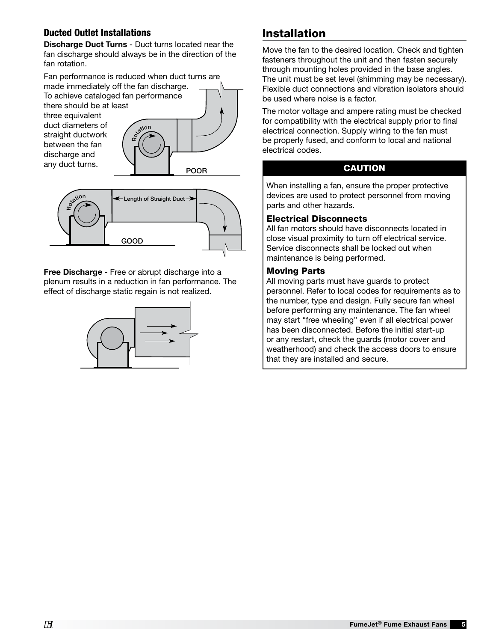#### Ducted Outlet Installations

Discharge Duct Turns - Duct turns located near the fan discharge should always be in the direction of the fan rotation.

Fan performance is reduced when duct turns are made immediately off the fan discharge. To achieve cataloged fan performance there should be at least three equivalent duct diameters of straight ductwork between the fan discharge and any duct turns. 3/4 to one fan wheel diameter Rotion POOR



Free Discharge - Free or abrupt discharge into a plenum results in a reduction in fan performance. The effect of discharge static regain is not realized.



### Installation

Move the fan to the desired location. Check and tighten fasteners throughout the unit and then fasten securely through mounting holes provided in the base angles. The unit must be set level (shimming may be necessary). Flexible duct connections and vibration isolators should be used where noise is a factor.

The motor voltage and ampere rating must be checked for compatibility with the electrical supply prior to final electrical connection. Supply wiring to the fan must be properly fused, and conform to local and national electrical codes.

#### CAUTION

When installing a fan, ensure the proper protective devices are used to protect personnel from moving actices are ased to prote<br>parts and other hazards.

#### Electrical Disconnects

All fan motors should have disconnects located in close visual proximity to turn off electrical service. Service disconnects shall be locked out when maintenance is being performed.

# mannenance is i<br>Moving Parts

All moving parts must have guards to protect personnel. Refer to local codes for requirements as to the number, type and design. Fully secure fan wheel before performing any maintenance. The fan wheel may start "free wheeling" even if all electrical power has been disconnected. Before the initial start-up or any restart, check the guards (motor cover and weatherhood) and check the access doors to ensure that they are installed and secure.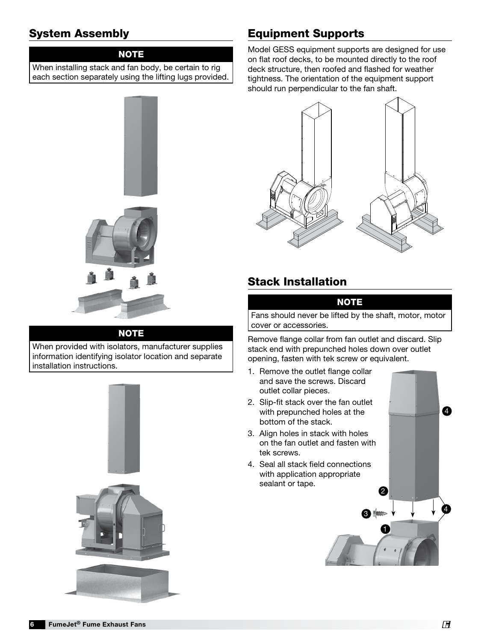### System Assembly

#### **NOTE**

When installing stack and fan body, be certain to rig each section separately using the lifting lugs provided.



#### **NOTE**

When provided with isolators, manufacturer supplies information identifying isolator location and separate installation instructions.



### Equipment Supports

Model GESS equipment supports are designed for use on flat roof decks, to be mounted directly to the roof deck structure, then roofed and flashed for weather tightness. The orientation of the equipment support should run perpendicular to the fan shaft.



### Stack Installation

#### NOTE

Fans should never be lifted by the shaft, motor, motor cover or accessories.

Remove flange collar from fan outlet and discard. Slip stack end with prepunched holes down over outlet opening, fasten with tek screw or equivalent.

- 1. Remove the outlet flange collar and save the screws. Discard outlet collar pieces.
- 2. Slip-fit stack over the fan outlet with prepunched holes at the bottom of the stack.
- 3. Align holes in stack with holes on the fan outlet and fasten with tek screws.
- 4. Seal all stack field connections with application appropriate sealant or tape.

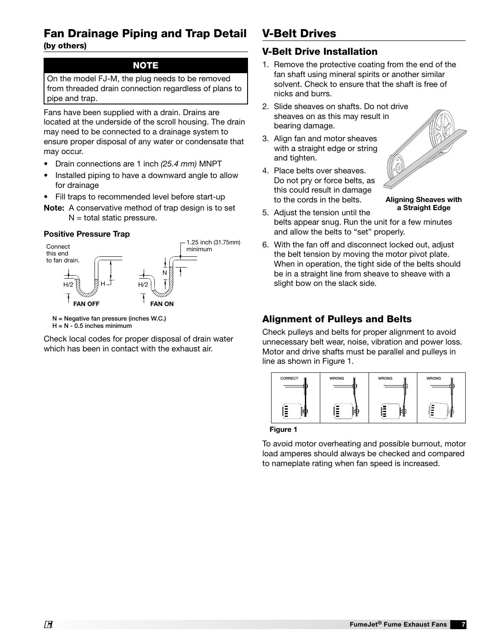### Fan Drainage Piping and Trap Detail

(by others)  $\frac{1}{\sqrt{2}}$  conservation method of trap design is to set the set of trap design is to set of the set of the set of the set of the set of the set of the set of the set of the set of the set of the set of the set of the se

#### NOTE N = TSP and P = TSP (TSP = Total Static Pressure)

On the model FJ-M, the plug needs to be removed from threaded drain connection regardless of plans to pipe and trap.

Fans have been supplied with a drain. Drains are located at the underside of the scroll housing. The drain may need to be connected to a drainage system to ensure proper disposal of any water or condensate that may occur.

- Drain connections are 1 inch *(25.4 mm)* MNPT
- Installed piping to have a downward angle to allow metaned piping to have a commended angle to<br>for drainage
- Fill traps to recommended level before start-up
- Note: A conservative method of trap design is to set  $N =$  total static pressure. POSITIVE PRESSURE TRAP

#### Positive Pressure Trap



 $H = N - 0.5$  inches minimum

Check local codes for proper disposal of drain water which has been in contact with the exhaust air.

### V-Belt Drives

#### V-Belt Drive Installation

- 1. Remove the protective coating from the end of the fan shaft using mineral spirits or another similar solvent. Check to ensure that the shaft is free of nicks and burrs.
- P.O.BOX 410 SCHOFIELD, WISCONSIN 54476-0410 sheaves on as this may result in 2. Slide sheaves on shafts. Do not drive bearing damage.
- 3. Align fan and motor sheaves with a straight edge or string and tighten.
- 4. Place belts over sheaves. Do not pry or force belts, as this could result in damage to the cords in the belts.



Aligning Sheaves with a Straight Edge

- 5. Adjust the tension until the belts appear snug. Run the unit for a few minutes and allow the belts to "set" properly.
- 6. With the fan off and disconnect locked out, adjust the belt tension by moving the motor pivot plate. When in operation, the tight side of the belts should be in a straight line from sheave to sheave with a slight bow on the slack side.

#### Alignment of Pulleys and Belts

Check pulleys and belts for proper alignment to avoid unnecessary belt wear, noise, vibration and power loss. Motor and drive shafts must be parallel and pulleys in line as shown in Figure 1.



Figure 1

To avoid motor overheating and possible burnout, motor load amperes should always be checked and compared to nameplate rating when fan speed is increased.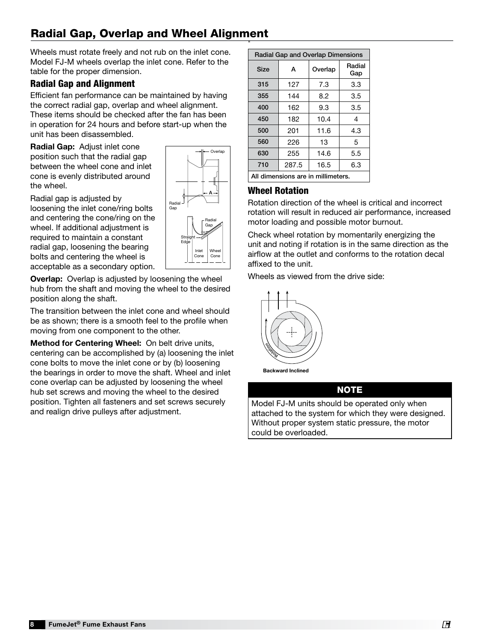#### Radial Gap, Overlap and Wheel Alignment "

Wheels must rotate freely and not rub on the inlet cone. Model FJ-M wheels overlap the inlet cone. Refer to the table for the proper dimension.

### Radial Gap and Alignment

Efficient fan performance can be maintained by having the correct radial gap, overlap and wheel alignment. These items should be checked after the fan has been in operation for 24 hours and before start-up when the unit has been disassembled.

Radial Gap: Adjust inlet cone position such that the radial gap between the wheel cone and inlet cone is evenly distributed around the wheel.

Radial gap is adjusted by loosening the inlet cone/ring bolts and centering the cone/ring on the wheel. If additional adjustment is required to maintain a constant radial gap, loosening the bearing bolts and centering the wheel is acceptable as a secondary option.

**Overlap:** Overlap is adjusted by loosening the wheel hub from the shaft and moving the wheel to the desired position along the shaft.

The transition between the inlet cone and wheel should be as shown; there is a smooth feel to the profile when moving from one component to the other.

Method for Centering Wheel: On belt drive units, centering can be accomplished by (a) loosening the inlet cone bolts to move the inlet cone or by (b) loosening the bearings in order to move the shaft. Wheel and inlet cone overlap can be adjusted by loosening the wheel hub set screws and moving the wheel to the desired position. Tighten all fasteners and set screws securely and realign drive pulleys after adjustment.

| Radial Gap and Overlap Dimensions  |           |             |               |  |  |
|------------------------------------|-----------|-------------|---------------|--|--|
| Size                               | А         | Overlap     | Radial<br>Gap |  |  |
| 315                                | 127       | 7.3         | 3.3           |  |  |
| 355                                | 144       | 8.2         | 3.5           |  |  |
| 400                                | 162       | 9.3         | 3.5           |  |  |
| 450                                | 182       | 10.4        | 4             |  |  |
| 500                                | 201       | 11.6        | 4.3           |  |  |
| 560                                | 226<br>13 |             | 5             |  |  |
| 630                                | 255       | 14.6<br>5.5 |               |  |  |
| 710                                | 287.5     | 16.5        | 6.3           |  |  |
| All dimensions are in millimeters. |           |             |               |  |  |

### Wheel Rotation

Rotation direction of the wheel is critical and incorrect rotation will result in reduced air performance, increased motor loading and possible motor burnout.

motor loading and possible motor burnout.<br>Check wheel rotation by momentarily energizing the unit and noting if rotation is in the same direction as the airflow at the outlet and conforms to the rotation decal affixed to the unit.

Wheels as viewed from the drive side:



Backward Inclined

#### NOTE

Model FJ-M units should be operated only when attached to the system for which they were designed.  $\vert$ Without proper system static pressure, the motor could be overloaded. January 18, 2016



Radial

Wheel Cone

Radial Gap

A

Overlap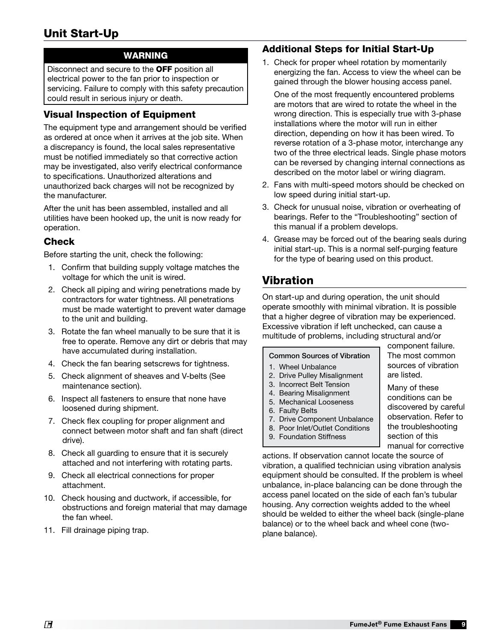### Unit Start-Up

#### WARNING

Disconnect and secure to the OFF position all electrical power to the fan prior to inspection or servicing. Failure to comply with this safety precaution could result in serious injury or death.

#### Visual Inspection of Equipment

The equipment type and arrangement should be verified as ordered at once when it arrives at the job site. When a discrepancy is found, the local sales representative must be notified immediately so that corrective action may be investigated, also verify electrical conformance to specifications. Unauthorized alterations and unauthorized back charges will not be recognized by the manufacturer.

After the unit has been assembled, installed and all utilities have been hooked up, the unit is now ready for operation.

#### **Check**

Before starting the unit, check the following:

- 1. Confirm that building supply voltage matches the voltage for which the unit is wired.
- 2. Check all piping and wiring penetrations made by contractors for water tightness. All penetrations must be made watertight to prevent water damage to the unit and building.
- 3. Rotate the fan wheel manually to be sure that it is free to operate. Remove any dirt or debris that may have accumulated during installation.
- 4. Check the fan bearing setscrews for tightness.
- 5. Check alignment of sheaves and V-belts (See maintenance section).
- 6. Inspect all fasteners to ensure that none have loosened during shipment.
- 7. Check flex coupling for proper alignment and connect between motor shaft and fan shaft (direct drive).
- 8. Check all guarding to ensure that it is securely attached and not interfering with rotating parts.
- 9. Check all electrical connections for proper attachment.
- 10. Check housing and ductwork, if accessible, for obstructions and foreign material that may damage the fan wheel.
- 11. Fill drainage piping trap.

#### Additional Steps for Initial Start-Up

1. Check for proper wheel rotation by momentarily energizing the fan. Access to view the wheel can be gained through the blower housing access panel.

One of the most frequently encountered problems are motors that are wired to rotate the wheel in the wrong direction. This is especially true with 3-phase installations where the motor will run in either direction, depending on how it has been wired. To reverse rotation of a 3-phase motor, interchange any two of the three electrical leads. Single phase motors can be reversed by changing internal connections as described on the motor label or wiring diagram.

- 2. Fans with multi-speed motors should be checked on low speed during initial start-up.
- 3. Check for unusual noise, vibration or overheating of bearings. Refer to the "Troubleshooting" section of this manual if a problem develops.
- 4. Grease may be forced out of the bearing seals during initial start-up. This is a normal self-purging feature for the type of bearing used on this product.

### Vibration

On start-up and during operation, the unit should operate smoothly with minimal vibration. It is possible that a higher degree of vibration may be experienced. Excessive vibration if left unchecked, can cause a multitude of problems, including structural and/or

#### Common Sources of Vibration

- 1. Wheel Unbalance
- 2. Drive Pulley Misalignment
- 3. Incorrect Belt Tension
- 4. Bearing Misalignment
- 5. Mechanical Looseness
- 6. Faulty Belts
- 7. Drive Component Unbalance
- 8. Poor Inlet/Outlet Conditions
- 9. Foundation Stiffness

component failure. The most common sources of vibration are listed.

Many of these conditions can be discovered by careful observation. Refer to the troubleshooting section of this manual for corrective

actions. If observation cannot locate the source of vibration, a qualified technician using vibration analysis equipment should be consulted. If the problem is wheel unbalance, in-place balancing can be done through the access panel located on the side of each fan's tubular housing. Any correction weights added to the wheel should be welded to either the wheel back (single-plane balance) or to the wheel back and wheel cone (twoplane balance).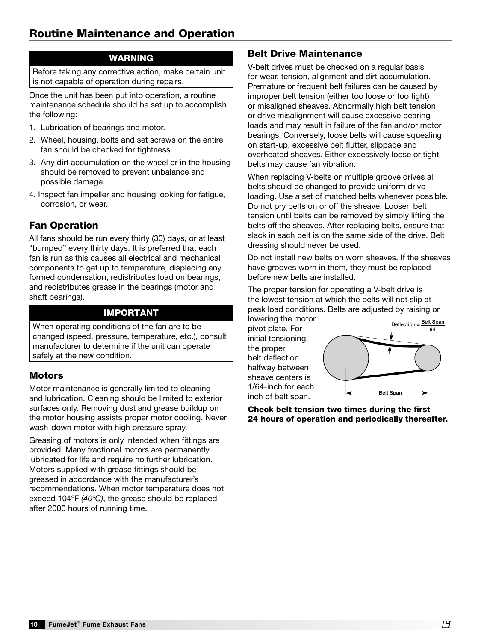### Routine Maintenance and Operation

#### WARNING

Before taking any corrective action, make certain unit is not capable of operation during repairs.

Once the unit has been put into operation, a routine maintenance schedule should be set up to accomplish the following:

- 1. Lubrication of bearings and motor.
- 2. Wheel, housing, bolts and set screws on the entire fan should be checked for tightness.
- 3. Any dirt accumulation on the wheel or in the housing should be removed to prevent unbalance and possible damage.
- 4. Inspect fan impeller and housing looking for fatigue, corrosion, or wear.

#### Fan Operation

All fans should be run every thirty (30) days, or at least "bumped" every thirty days. It is preferred that each fan is run as this causes all electrical and mechanical components to get up to temperature, displacing any formed condensation, redistributes load on bearings, and redistributes grease in the bearings (motor and shaft bearings).

#### IMPORTANT

When operating conditions of the fan are to be changed (speed, pressure, temperature, etc.), consult manufacturer to determine if the unit can operate safely at the new condition.

#### **Motors**

Motor maintenance is generally limited to cleaning and lubrication. Cleaning should be limited to exterior surfaces only. Removing dust and grease buildup on the motor housing assists proper motor cooling. Never wash-down motor with high pressure spray.

Greasing of motors is only intended when fittings are provided. Many fractional motors are permanently lubricated for life and require no further lubrication. Motors supplied with grease fittings should be greased in accordance with the manufacturer's recommendations. When motor temperature does not exceed 104ºF *(40ºC)*, the grease should be replaced after 2000 hours of running time.

#### Belt Drive Maintenance

V-belt drives must be checked on a regular basis for wear, tension, alignment and dirt accumulation. Premature or frequent belt failures can be caused by improper belt tension (either too loose or too tight) or misaligned sheaves. Abnormally high belt tension or drive misalignment will cause excessive bearing loads and may result in failure of the fan and/or motor bearings. Conversely, loose belts will cause squealing on start-up, excessive belt flutter, slippage and overheated sheaves. Either excessively loose or tight belts may cause fan vibration.

When replacing V-belts on multiple groove drives all belts should be changed to provide uniform drive loading. Use a set of matched belts whenever possible. Do not pry belts on or off the sheave. Loosen belt tension until belts can be removed by simply lifting the belts off the sheaves. After replacing belts, ensure that slack in each belt is on the same side of the drive. Belt dressing should never be used.

Do not install new belts on worn sheaves. If the sheaves have grooves worn in them, they must be replaced before new belts are installed.

The proper tension for operating a V-belt drive is the lowest tension at which the belts will not slip at peak load conditions. Belts are adjusted by raising or lowering the motor

pivot plate. For initial tensioning, the proper belt deflection halfway between sheave centers is 1/64-inch for each inch of belt span.



Check belt tension two times during the first 24 hours of operation and periodically thereafter.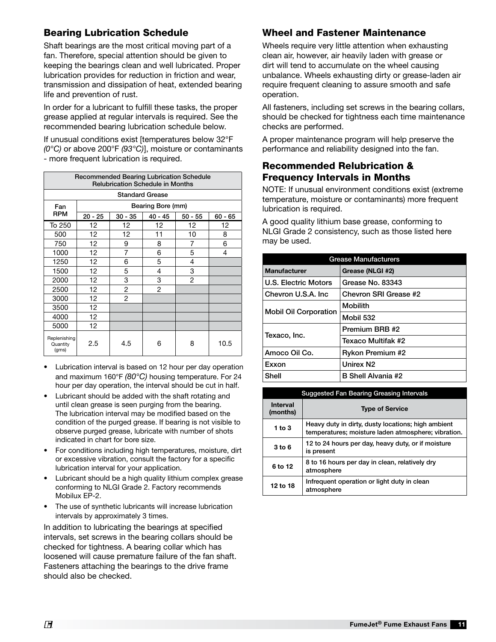#### Bearing Lubrication Schedule

Shaft bearings are the most critical moving part of a fan. Therefore, special attention should be given to keeping the bearings clean and well lubricated. Proper lubrication provides for reduction in friction and wear, transmission and dissipation of heat, extended bearing life and prevention of rust.

In order for a lubricant to fulfill these tasks, the proper grease applied at regular intervals is required. See the recommended bearing lubrication schedule below.

If unusual conditions exist [temperatures below 32°F *(0°C)* or above 200°F *(93°C)*], moisture or contaminants - more frequent lubrication is required.

| <b>Recommended Bearing Lubrication Schedule</b><br><b>Relubrication Schedule in Months</b> |                   |                |                        |                |         |  |
|--------------------------------------------------------------------------------------------|-------------------|----------------|------------------------|----------------|---------|--|
|                                                                                            |                   |                | <b>Standard Grease</b> |                |         |  |
| Fan                                                                                        | Bearing Bore (mm) |                |                        |                |         |  |
| <b>RPM</b>                                                                                 | $20 - 25$         | $30 - 35$      | $40 - 45$              | $50 - 55$      | 60 - 65 |  |
| To 250                                                                                     | 12                | 12             | 12                     | 12             | 12      |  |
| 500                                                                                        | 12 <sub>2</sub>   | 12             | 11                     | 10             | 8       |  |
| 750                                                                                        | 12                | 9              | 8                      | 7              | 6       |  |
| 1000                                                                                       | 12                | 7              | 6                      | 5              | 4       |  |
| 1250                                                                                       | 12                | 6              | 5                      | 4              |         |  |
| 1500                                                                                       | 12                | 5              | 4                      | 3              |         |  |
| 2000                                                                                       | 12                | 3              | 3                      | $\overline{2}$ |         |  |
| 2500                                                                                       | 12                | $\overline{c}$ | $\overline{c}$         |                |         |  |
| 3000                                                                                       | 12                | $\overline{c}$ |                        |                |         |  |
| 3500                                                                                       | 12                |                |                        |                |         |  |
| 4000                                                                                       | 12                |                |                        |                |         |  |
| 5000                                                                                       | 12 <sup>°</sup>   |                |                        |                |         |  |
| Replenishing<br>Quantity<br>(gms)                                                          | 2.5               | 4.5            | 6                      | 8              | 10.5    |  |

- Lubrication interval is based on 12 hour per day operation and maximum 160°F *(80°C)* housing temperature. For 24 hour per day operation, the interval should be cut in half.
- Lubricant should be added with the shaft rotating and until clean grease is seen purging from the bearing. The lubrication interval may be modified based on the condition of the purged grease. If bearing is not visible to observe purged grease, lubricate with number of shots indicated in chart for bore size.
- For conditions including high temperatures, moisture, dirt or excessive vibration, consult the factory for a specific lubrication interval for your application.
- Lubricant should be a high quality lithium complex grease conforming to NLGI Grade 2. Factory recommends Mobilux EP-2.
- The use of synthetic lubricants will increase lubrication intervals by approximately 3 times.

In addition to lubricating the bearings at specified intervals, set screws in the bearing collars should be checked for tightness. A bearing collar which has loosened will cause premature failure of the fan shaft. Fasteners attaching the bearings to the drive frame should also be checked.

#### Wheel and Fastener Maintenance

Wheels require very little attention when exhausting clean air, however, air heavily laden with grease or dirt will tend to accumulate on the wheel causing unbalance. Wheels exhausting dirty or grease-laden air require frequent cleaning to assure smooth and safe operation.

All fasteners, including set screws in the bearing collars, should be checked for tightness each time maintenance checks are performed.

A proper maintenance program will help preserve the performance and reliability designed into the fan.

#### Recommended Relubrication & Frequency Intervals in Months

NOTE: If unusual environment conditions exist (extreme temperature, moisture or contaminants) more frequent lubrication is required.

A good quality lithium base grease, conforming to NLGI Grade 2 consistency, such as those listed here may be used.

| <b>Grease Manufacturers</b>  |                           |  |  |
|------------------------------|---------------------------|--|--|
| <b>Manufacturer</b>          | Grease (NLGI #2)          |  |  |
| U.S. Electric Motors         | Grease No. 83343          |  |  |
| Chevron U.S.A. Inc.          | Chevron SRI Grease #2     |  |  |
| <b>Mobil Oil Corporation</b> | <b>Mobilith</b>           |  |  |
|                              | Mobil 532                 |  |  |
| Texaco, Inc.                 | Premium BRB #2            |  |  |
|                              | Texaco Multifak #2        |  |  |
| Amoco Oil Co.                | <b>Rykon Premium #2</b>   |  |  |
| Exxon                        | Unirex N <sub>2</sub>     |  |  |
| Shell                        | <b>B Shell Alvania #2</b> |  |  |

| <b>Suggested Fan Bearing Greasing Intervals</b>       |                                                                                                           |  |  |  |
|-------------------------------------------------------|-----------------------------------------------------------------------------------------------------------|--|--|--|
| <b>Interval</b><br><b>Type of Service</b><br>(months) |                                                                                                           |  |  |  |
| 1 to $3$                                              | Heavy duty in dirty, dusty locations; high ambient<br>temperatures; moisture laden atmosphere; vibration. |  |  |  |
| 3 to 6                                                | 12 to 24 hours per day, heavy duty, or if moisture<br>is present                                          |  |  |  |
| 6 to 12                                               | 8 to 16 hours per day in clean, relatively dry<br>atmosphere                                              |  |  |  |
| 12 to 18                                              | Infrequent operation or light duty in clean<br>atmosphere                                                 |  |  |  |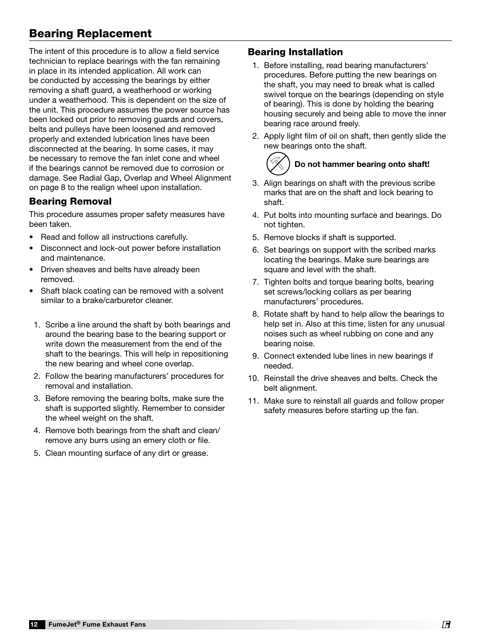### Bearing Replacement

The intent of this procedure is to allow a field service technician to replace bearings with the fan remaining in place in its intended application. All work can be conducted by accessing the bearings by either removing a shaft guard, a weatherhood or working under a weatherhood. This is dependent on the size of the unit. This procedure assumes the power source has been locked out prior to removing guards and covers, belts and pulleys have been loosened and removed properly and extended lubrication lines have been disconnected at the bearing. In some cases, it may be necessary to remove the fan inlet cone and wheel if the bearings cannot be removed due to corrosion or damage. See Radial Gap, Overlap and Wheel Alignment on page 8 to the realign wheel upon installation.

#### Bearing Removal

This procedure assumes proper safety measures have been taken.

- Read and follow all instructions carefully.
- Disconnect and lock-out power before installation and maintenance.
- Driven sheaves and belts have already been removed.
- Shaft black coating can be removed with a solvent similar to a brake/carburetor cleaner.
- 1. Scribe a line around the shaft by both bearings and around the bearing base to the bearing support or write down the measurement from the end of the shaft to the bearings. This will help in repositioning the new bearing and wheel cone overlap.
- 2. Follow the bearing manufacturers' procedures for removal and installation.
- 3. Before removing the bearing bolts, make sure the shaft is supported slightly. Remember to consider the wheel weight on the shaft.
- 4. Remove both bearings from the shaft and clean/ remove any burrs using an emery cloth or file.
- 5. Clean mounting surface of any dirt or grease.

#### Bearing Installation

- 1. Before installing, read bearing manufacturers' procedures. Before putting the new bearings on the shaft, you may need to break what is called swivel torque on the bearings (depending on style of bearing). This is done by holding the bearing housing securely and being able to move the inner bearing race around freely.
- 2. Apply light film of oil on shaft, then gently slide the new bearings onto the shaft.

# Do not hammer bearing onto shaft!

- 3. Align bearings on shaft with the previous scribe marks that are on the shaft and lock bearing to shaft.
- 4. Put bolts into mounting surface and bearings. Do not tighten.
- 5. Remove blocks if shaft is supported.
- 6. Set bearings on support with the scribed marks locating the bearings. Make sure bearings are square and level with the shaft.
- 7. Tighten bolts and torque bearing bolts, bearing set screws/locking collars as per bearing manufacturers' procedures.
- 8. Rotate shaft by hand to help allow the bearings to help set in. Also at this time, listen for any unusual noises such as wheel rubbing on cone and any bearing noise.
- 9. Connect extended lube lines in new bearings if needed.
- 10. Reinstall the drive sheaves and belts. Check the belt alignment.
- 11. Make sure to reinstall all guards and follow proper safety measures before starting up the fan.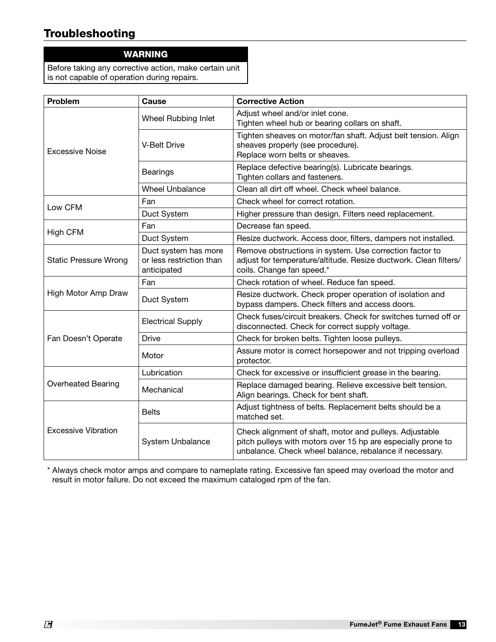### Troubleshooting

#### WARNING

Before taking any corrective action, make certain unit is not capable of operation during repairs.

| Problem                      | <b>Cause</b>                                                    | <b>Corrective Action</b>                                                                                                                                                           |
|------------------------------|-----------------------------------------------------------------|------------------------------------------------------------------------------------------------------------------------------------------------------------------------------------|
|                              | Wheel Rubbing Inlet                                             | Adjust wheel and/or inlet cone.<br>Tighten wheel hub or bearing collars on shaft.                                                                                                  |
| <b>Excessive Noise</b>       | <b>V-Belt Drive</b>                                             | Tighten sheaves on motor/fan shaft. Adjust belt tension. Align<br>sheaves properly (see procedure).<br>Replace worn belts or sheaves.                                              |
|                              | <b>Bearings</b>                                                 | Replace defective bearing(s). Lubricate bearings.<br>Tighten collars and fasteners.                                                                                                |
|                              | <b>Wheel Unbalance</b>                                          | Clean all dirt off wheel. Check wheel balance.                                                                                                                                     |
| Low CFM                      | Fan                                                             | Check wheel for correct rotation.                                                                                                                                                  |
|                              | Duct System                                                     | Higher pressure than design. Filters need replacement.                                                                                                                             |
| High CFM                     | Fan                                                             | Decrease fan speed.                                                                                                                                                                |
|                              | Duct System                                                     | Resize ductwork. Access door, filters, dampers not installed.                                                                                                                      |
| <b>Static Pressure Wrong</b> | Duct system has more<br>or less restriction than<br>anticipated | Remove obstructions in system. Use correction factor to<br>adjust for temperature/altitude. Resize ductwork. Clean filters/<br>coils. Change fan speed.*                           |
|                              | Fan                                                             | Check rotation of wheel. Reduce fan speed.                                                                                                                                         |
| High Motor Amp Draw          | Duct System                                                     | Resize ductwork. Check proper operation of isolation and<br>bypass dampers. Check filters and access doors.                                                                        |
|                              | <b>Electrical Supply</b>                                        | Check fuses/circuit breakers. Check for switches turned off or<br>disconnected. Check for correct supply voltage.                                                                  |
| Fan Doesn't Operate          | Drive                                                           | Check for broken belts. Tighten loose pulleys.                                                                                                                                     |
|                              | Motor                                                           | Assure motor is correct horsepower and not tripping overload<br>protector.                                                                                                         |
|                              | Lubrication                                                     | Check for excessive or insufficient grease in the bearing.                                                                                                                         |
| <b>Overheated Bearing</b>    | Mechanical                                                      | Replace damaged bearing. Relieve excessive belt tension.<br>Align bearings. Check for bent shaft.                                                                                  |
| <b>Excessive Vibration</b>   | <b>Belts</b>                                                    | Adjust tightness of belts. Replacement belts should be a<br>matched set.                                                                                                           |
|                              | <b>System Unbalance</b>                                         | Check alignment of shaft, motor and pulleys. Adjustable<br>pitch pulleys with motors over 15 hp are especially prone to<br>unbalance. Check wheel balance, rebalance if necessary. |

\* Always check motor amps and compare to nameplate rating. Excessive fan speed may overload the motor and result in motor failure. Do not exceed the maximum cataloged rpm of the fan.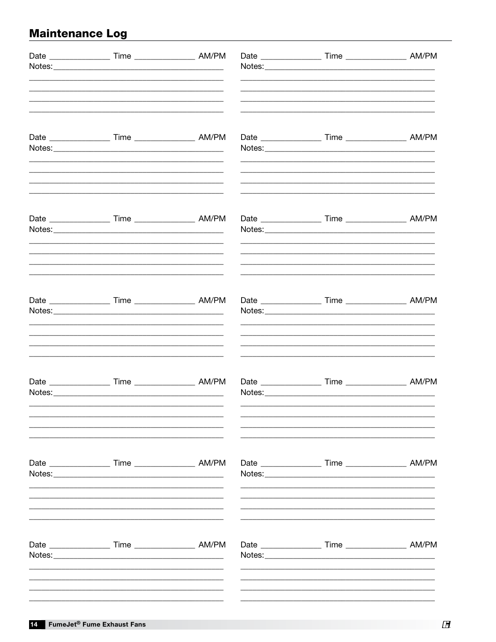## **Maintenance Log**

| Date _____________________ Time ______________________ AM/PM   |  |                                                                  |  |
|----------------------------------------------------------------|--|------------------------------------------------------------------|--|
|                                                                |  |                                                                  |  |
|                                                                |  |                                                                  |  |
| Date _______________________ Time ______________________ AM/PM |  | Date ____________________ Time _____________________ AM/PM       |  |
|                                                                |  | Date _______________________ Time ________________________ AM/PM |  |
|                                                                |  | Date _____________________ Time ______________________ AM/PM     |  |
| Date ______________________ Time _______________________ AM/PM |  |                                                                  |  |
|                                                                |  |                                                                  |  |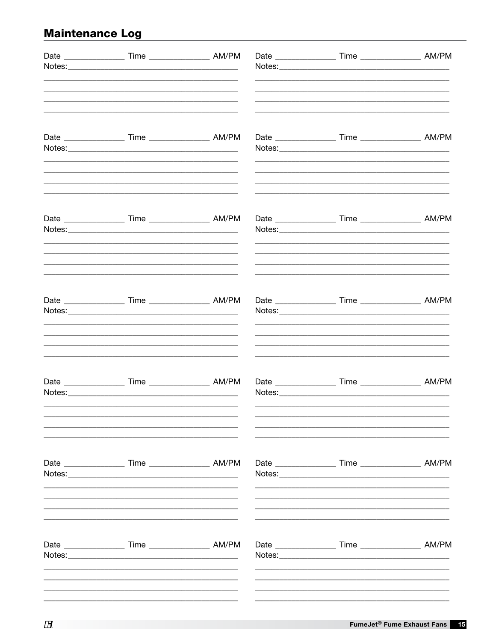## **Maintenance Log**

|  | Date _____________________ Time ____________________ AM/PM<br>Date ______________________ Time _______________________ AM/PM<br>Date ______________________ Time _______________________ AM/PM<br>Date _____________________ Time _____________________ AM/PM<br>Date ____________________ Time ____________________ AM/PM<br>Date ____________________ Time ____________________ AM/PM | Date ______________________ Time ______________________ AM/PM<br>Date _____________________ Time ____________________ AM/PM<br>Date _______________________ Time ________________________ AM/PM<br>Date _______________________ Time ________________________ AM/PM |
|--|-----------------------------------------------------------------------------------------------------------------------------------------------------------------------------------------------------------------------------------------------------------------------------------------------------------------------------------------------------------------------------------------|---------------------------------------------------------------------------------------------------------------------------------------------------------------------------------------------------------------------------------------------------------------------|